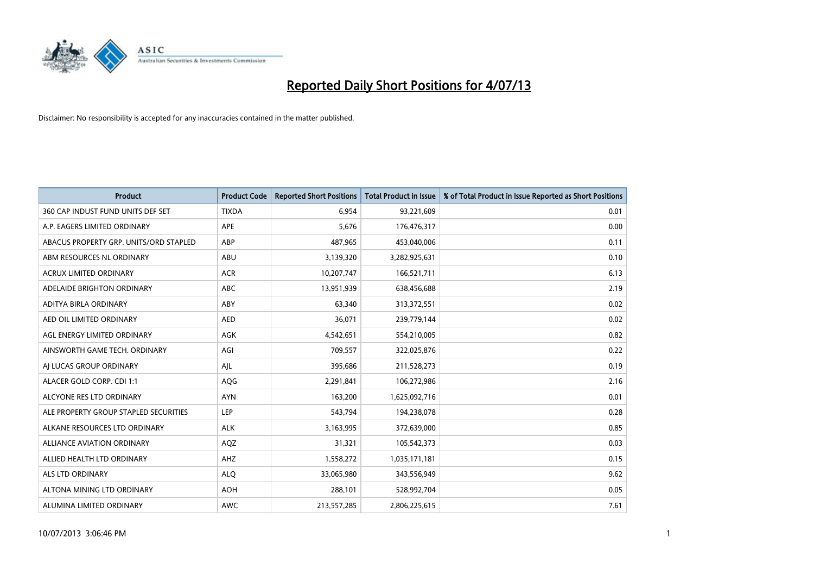

| <b>Product</b>                         | <b>Product Code</b> | <b>Reported Short Positions</b> | <b>Total Product in Issue</b> | % of Total Product in Issue Reported as Short Positions |
|----------------------------------------|---------------------|---------------------------------|-------------------------------|---------------------------------------------------------|
| 360 CAP INDUST FUND UNITS DEF SET      | <b>TIXDA</b>        | 6,954                           | 93,221,609                    | 0.01                                                    |
| A.P. EAGERS LIMITED ORDINARY           | <b>APE</b>          | 5,676                           | 176,476,317                   | 0.00                                                    |
| ABACUS PROPERTY GRP. UNITS/ORD STAPLED | ABP                 | 487,965                         | 453,040,006                   | 0.11                                                    |
| ABM RESOURCES NL ORDINARY              | ABU                 | 3,139,320                       | 3,282,925,631                 | 0.10                                                    |
| <b>ACRUX LIMITED ORDINARY</b>          | <b>ACR</b>          | 10,207,747                      | 166,521,711                   | 6.13                                                    |
| ADELAIDE BRIGHTON ORDINARY             | <b>ABC</b>          | 13,951,939                      | 638,456,688                   | 2.19                                                    |
| ADITYA BIRLA ORDINARY                  | ABY                 | 63,340                          | 313,372,551                   | 0.02                                                    |
| AED OIL LIMITED ORDINARY               | <b>AED</b>          | 36,071                          | 239,779,144                   | 0.02                                                    |
| AGL ENERGY LIMITED ORDINARY            | AGK                 | 4,542,651                       | 554,210,005                   | 0.82                                                    |
| AINSWORTH GAME TECH. ORDINARY          | AGI                 | 709,557                         | 322,025,876                   | 0.22                                                    |
| AJ LUCAS GROUP ORDINARY                | AJL                 | 395,686                         | 211,528,273                   | 0.19                                                    |
| ALACER GOLD CORP. CDI 1:1              | AQG                 | 2,291,841                       | 106,272,986                   | 2.16                                                    |
| ALCYONE RES LTD ORDINARY               | <b>AYN</b>          | 163,200                         | 1,625,092,716                 | 0.01                                                    |
| ALE PROPERTY GROUP STAPLED SECURITIES  | LEP                 | 543,794                         | 194,238,078                   | 0.28                                                    |
| ALKANE RESOURCES LTD ORDINARY          | <b>ALK</b>          | 3,163,995                       | 372,639,000                   | 0.85                                                    |
| <b>ALLIANCE AVIATION ORDINARY</b>      | AQZ                 | 31,321                          | 105,542,373                   | 0.03                                                    |
| ALLIED HEALTH LTD ORDINARY             | AHZ                 | 1,558,272                       | 1,035,171,181                 | 0.15                                                    |
| <b>ALS LTD ORDINARY</b>                | <b>ALQ</b>          | 33,065,980                      | 343,556,949                   | 9.62                                                    |
| ALTONA MINING LTD ORDINARY             | <b>AOH</b>          | 288,101                         | 528,992,704                   | 0.05                                                    |
| ALUMINA LIMITED ORDINARY               | AWC                 | 213,557,285                     | 2,806,225,615                 | 7.61                                                    |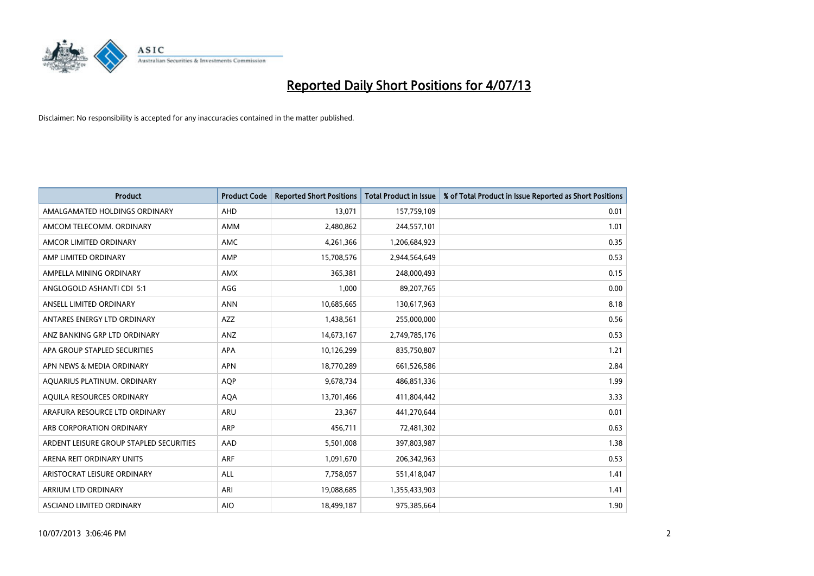

| <b>Product</b>                          | <b>Product Code</b> | <b>Reported Short Positions</b> | <b>Total Product in Issue</b> | % of Total Product in Issue Reported as Short Positions |
|-----------------------------------------|---------------------|---------------------------------|-------------------------------|---------------------------------------------------------|
| AMALGAMATED HOLDINGS ORDINARY           | AHD                 | 13,071                          | 157,759,109                   | 0.01                                                    |
| AMCOM TELECOMM. ORDINARY                | AMM                 | 2,480,862                       | 244,557,101                   | 1.01                                                    |
| AMCOR LIMITED ORDINARY                  | AMC                 | 4,261,366                       | 1,206,684,923                 | 0.35                                                    |
| AMP LIMITED ORDINARY                    | AMP                 | 15,708,576                      | 2,944,564,649                 | 0.53                                                    |
| AMPELLA MINING ORDINARY                 | <b>AMX</b>          | 365,381                         | 248,000,493                   | 0.15                                                    |
| ANGLOGOLD ASHANTI CDI 5:1               | AGG                 | 1,000                           | 89,207,765                    | 0.00                                                    |
| ANSELL LIMITED ORDINARY                 | <b>ANN</b>          | 10,685,665                      | 130,617,963                   | 8.18                                                    |
| ANTARES ENERGY LTD ORDINARY             | AZZ                 | 1,438,561                       | 255,000,000                   | 0.56                                                    |
| ANZ BANKING GRP LTD ORDINARY            | ANZ                 | 14,673,167                      | 2,749,785,176                 | 0.53                                                    |
| APA GROUP STAPLED SECURITIES            | <b>APA</b>          | 10,126,299                      | 835,750,807                   | 1.21                                                    |
| APN NEWS & MEDIA ORDINARY               | <b>APN</b>          | 18,770,289                      | 661,526,586                   | 2.84                                                    |
| AQUARIUS PLATINUM. ORDINARY             | <b>AOP</b>          | 9,678,734                       | 486,851,336                   | 1.99                                                    |
| AQUILA RESOURCES ORDINARY               | <b>AQA</b>          | 13,701,466                      | 411,804,442                   | 3.33                                                    |
| ARAFURA RESOURCE LTD ORDINARY           | <b>ARU</b>          | 23,367                          | 441,270,644                   | 0.01                                                    |
| ARB CORPORATION ORDINARY                | <b>ARP</b>          | 456,711                         | 72,481,302                    | 0.63                                                    |
| ARDENT LEISURE GROUP STAPLED SECURITIES | AAD                 | 5,501,008                       | 397,803,987                   | 1.38                                                    |
| ARENA REIT ORDINARY UNITS               | <b>ARF</b>          | 1,091,670                       | 206,342,963                   | 0.53                                                    |
| ARISTOCRAT LEISURE ORDINARY             | ALL                 | 7,758,057                       | 551,418,047                   | 1.41                                                    |
| ARRIUM LTD ORDINARY                     | ARI                 | 19,088,685                      | 1,355,433,903                 | 1.41                                                    |
| ASCIANO LIMITED ORDINARY                | <b>AIO</b>          | 18,499,187                      | 975,385,664                   | 1.90                                                    |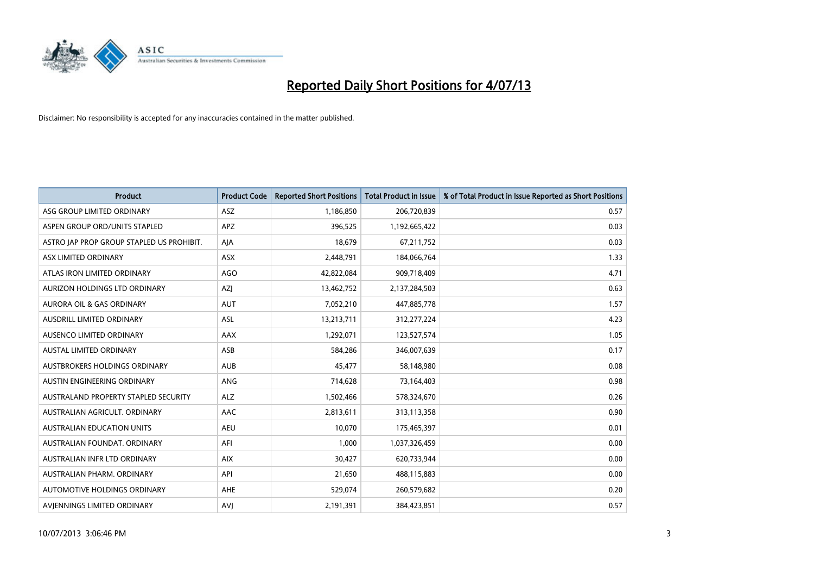

| <b>Product</b>                            | <b>Product Code</b> | <b>Reported Short Positions</b> | <b>Total Product in Issue</b> | % of Total Product in Issue Reported as Short Positions |
|-------------------------------------------|---------------------|---------------------------------|-------------------------------|---------------------------------------------------------|
| ASG GROUP LIMITED ORDINARY                | <b>ASZ</b>          | 1,186,850                       | 206,720,839                   | 0.57                                                    |
| ASPEN GROUP ORD/UNITS STAPLED             | <b>APZ</b>          | 396,525                         | 1,192,665,422                 | 0.03                                                    |
| ASTRO JAP PROP GROUP STAPLED US PROHIBIT. | AJA                 | 18,679                          | 67,211,752                    | 0.03                                                    |
| ASX LIMITED ORDINARY                      | ASX                 | 2,448,791                       | 184,066,764                   | 1.33                                                    |
| ATLAS IRON LIMITED ORDINARY               | <b>AGO</b>          | 42,822,084                      | 909,718,409                   | 4.71                                                    |
| AURIZON HOLDINGS LTD ORDINARY             | AZJ                 | 13,462,752                      | 2,137,284,503                 | 0.63                                                    |
| AURORA OIL & GAS ORDINARY                 | AUT                 | 7,052,210                       | 447,885,778                   | 1.57                                                    |
| AUSDRILL LIMITED ORDINARY                 | ASL                 | 13,213,711                      | 312,277,224                   | 4.23                                                    |
| AUSENCO LIMITED ORDINARY                  | AAX                 | 1,292,071                       | 123,527,574                   | 1.05                                                    |
| <b>AUSTAL LIMITED ORDINARY</b>            | ASB                 | 584,286                         | 346,007,639                   | 0.17                                                    |
| AUSTBROKERS HOLDINGS ORDINARY             | <b>AUB</b>          | 45,477                          | 58,148,980                    | 0.08                                                    |
| AUSTIN ENGINEERING ORDINARY               | <b>ANG</b>          | 714,628                         | 73,164,403                    | 0.98                                                    |
| AUSTRALAND PROPERTY STAPLED SECURITY      | <b>ALZ</b>          | 1,502,466                       | 578,324,670                   | 0.26                                                    |
| AUSTRALIAN AGRICULT, ORDINARY             | AAC                 | 2,813,611                       | 313,113,358                   | 0.90                                                    |
| <b>AUSTRALIAN EDUCATION UNITS</b>         | <b>AEU</b>          | 10,070                          | 175,465,397                   | 0.01                                                    |
| AUSTRALIAN FOUNDAT. ORDINARY              | AFI                 | 1,000                           | 1,037,326,459                 | 0.00                                                    |
| AUSTRALIAN INFR LTD ORDINARY              | <b>AIX</b>          | 30,427                          | 620,733,944                   | 0.00                                                    |
| AUSTRALIAN PHARM. ORDINARY                | API                 | 21,650                          | 488,115,883                   | 0.00                                                    |
| AUTOMOTIVE HOLDINGS ORDINARY              | <b>AHE</b>          | 529,074                         | 260,579,682                   | 0.20                                                    |
| AVIENNINGS LIMITED ORDINARY               | <b>AVJ</b>          | 2,191,391                       | 384,423,851                   | 0.57                                                    |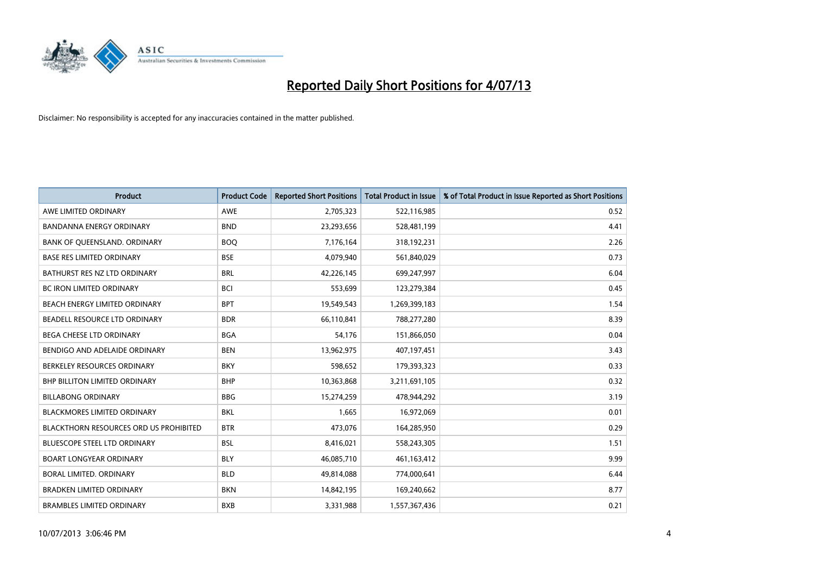

| <b>Product</b>                                | <b>Product Code</b> | <b>Reported Short Positions</b> | <b>Total Product in Issue</b> | % of Total Product in Issue Reported as Short Positions |
|-----------------------------------------------|---------------------|---------------------------------|-------------------------------|---------------------------------------------------------|
| AWE LIMITED ORDINARY                          | <b>AWE</b>          | 2,705,323                       | 522,116,985                   | 0.52                                                    |
| BANDANNA ENERGY ORDINARY                      | <b>BND</b>          | 23,293,656                      | 528,481,199                   | 4.41                                                    |
| BANK OF QUEENSLAND. ORDINARY                  | <b>BOQ</b>          | 7,176,164                       | 318,192,231                   | 2.26                                                    |
| <b>BASE RES LIMITED ORDINARY</b>              | <b>BSE</b>          | 4,079,940                       | 561,840,029                   | 0.73                                                    |
| BATHURST RES NZ LTD ORDINARY                  | <b>BRL</b>          | 42,226,145                      | 699,247,997                   | 6.04                                                    |
| <b>BC IRON LIMITED ORDINARY</b>               | <b>BCI</b>          | 553,699                         | 123,279,384                   | 0.45                                                    |
| BEACH ENERGY LIMITED ORDINARY                 | <b>BPT</b>          | 19,549,543                      | 1,269,399,183                 | 1.54                                                    |
| BEADELL RESOURCE LTD ORDINARY                 | <b>BDR</b>          | 66,110,841                      | 788,277,280                   | 8.39                                                    |
| BEGA CHEESE LTD ORDINARY                      | <b>BGA</b>          | 54,176                          | 151,866,050                   | 0.04                                                    |
| BENDIGO AND ADELAIDE ORDINARY                 | <b>BEN</b>          | 13,962,975                      | 407,197,451                   | 3.43                                                    |
| BERKELEY RESOURCES ORDINARY                   | <b>BKY</b>          | 598,652                         | 179,393,323                   | 0.33                                                    |
| BHP BILLITON LIMITED ORDINARY                 | <b>BHP</b>          | 10,363,868                      | 3,211,691,105                 | 0.32                                                    |
| <b>BILLABONG ORDINARY</b>                     | <b>BBG</b>          | 15,274,259                      | 478,944,292                   | 3.19                                                    |
| <b>BLACKMORES LIMITED ORDINARY</b>            | <b>BKL</b>          | 1,665                           | 16,972,069                    | 0.01                                                    |
| <b>BLACKTHORN RESOURCES ORD US PROHIBITED</b> | <b>BTR</b>          | 473,076                         | 164,285,950                   | 0.29                                                    |
| BLUESCOPE STEEL LTD ORDINARY                  | <b>BSL</b>          | 8,416,021                       | 558,243,305                   | 1.51                                                    |
| <b>BOART LONGYEAR ORDINARY</b>                | <b>BLY</b>          | 46,085,710                      | 461,163,412                   | 9.99                                                    |
| BORAL LIMITED, ORDINARY                       | <b>BLD</b>          | 49,814,088                      | 774,000,641                   | 6.44                                                    |
| <b>BRADKEN LIMITED ORDINARY</b>               | <b>BKN</b>          | 14,842,195                      | 169,240,662                   | 8.77                                                    |
| <b>BRAMBLES LIMITED ORDINARY</b>              | <b>BXB</b>          | 3,331,988                       | 1,557,367,436                 | 0.21                                                    |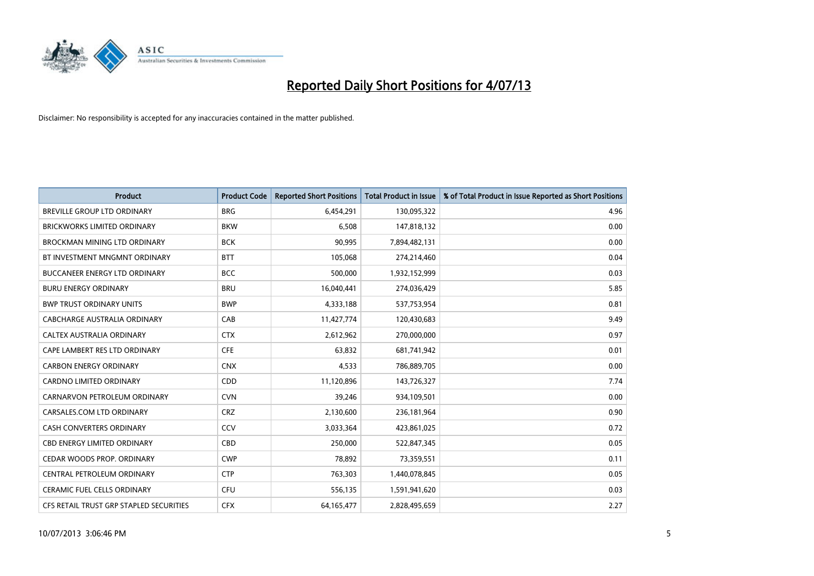

| <b>Product</b>                          | <b>Product Code</b> | <b>Reported Short Positions</b> | <b>Total Product in Issue</b> | % of Total Product in Issue Reported as Short Positions |
|-----------------------------------------|---------------------|---------------------------------|-------------------------------|---------------------------------------------------------|
| <b>BREVILLE GROUP LTD ORDINARY</b>      | <b>BRG</b>          | 6,454,291                       | 130,095,322                   | 4.96                                                    |
| <b>BRICKWORKS LIMITED ORDINARY</b>      | <b>BKW</b>          | 6,508                           | 147,818,132                   | 0.00                                                    |
| <b>BROCKMAN MINING LTD ORDINARY</b>     | <b>BCK</b>          | 90,995                          | 7,894,482,131                 | 0.00                                                    |
| BT INVESTMENT MNGMNT ORDINARY           | <b>BTT</b>          | 105,068                         | 274,214,460                   | 0.04                                                    |
| <b>BUCCANEER ENERGY LTD ORDINARY</b>    | <b>BCC</b>          | 500,000                         | 1,932,152,999                 | 0.03                                                    |
| <b>BURU ENERGY ORDINARY</b>             | <b>BRU</b>          | 16,040,441                      | 274,036,429                   | 5.85                                                    |
| <b>BWP TRUST ORDINARY UNITS</b>         | <b>BWP</b>          | 4,333,188                       | 537,753,954                   | 0.81                                                    |
| <b>CABCHARGE AUSTRALIA ORDINARY</b>     | CAB                 | 11,427,774                      | 120,430,683                   | 9.49                                                    |
| CALTEX AUSTRALIA ORDINARY               | <b>CTX</b>          | 2,612,962                       | 270,000,000                   | 0.97                                                    |
| CAPE LAMBERT RES LTD ORDINARY           | <b>CFE</b>          | 63,832                          | 681,741,942                   | 0.01                                                    |
| <b>CARBON ENERGY ORDINARY</b>           | <b>CNX</b>          | 4,533                           | 786,889,705                   | 0.00                                                    |
| <b>CARDNO LIMITED ORDINARY</b>          | CDD                 | 11,120,896                      | 143,726,327                   | 7.74                                                    |
| CARNARVON PETROLEUM ORDINARY            | <b>CVN</b>          | 39,246                          | 934,109,501                   | 0.00                                                    |
| CARSALES.COM LTD ORDINARY               | <b>CRZ</b>          | 2,130,600                       | 236,181,964                   | 0.90                                                    |
| <b>CASH CONVERTERS ORDINARY</b>         | CCV                 | 3,033,364                       | 423,861,025                   | 0.72                                                    |
| <b>CBD ENERGY LIMITED ORDINARY</b>      | CBD                 | 250,000                         | 522,847,345                   | 0.05                                                    |
| CEDAR WOODS PROP. ORDINARY              | <b>CWP</b>          | 78,892                          | 73,359,551                    | 0.11                                                    |
| CENTRAL PETROLEUM ORDINARY              | <b>CTP</b>          | 763,303                         | 1,440,078,845                 | 0.05                                                    |
| <b>CERAMIC FUEL CELLS ORDINARY</b>      | <b>CFU</b>          | 556,135                         | 1,591,941,620                 | 0.03                                                    |
| CFS RETAIL TRUST GRP STAPLED SECURITIES | <b>CFX</b>          | 64, 165, 477                    | 2,828,495,659                 | 2.27                                                    |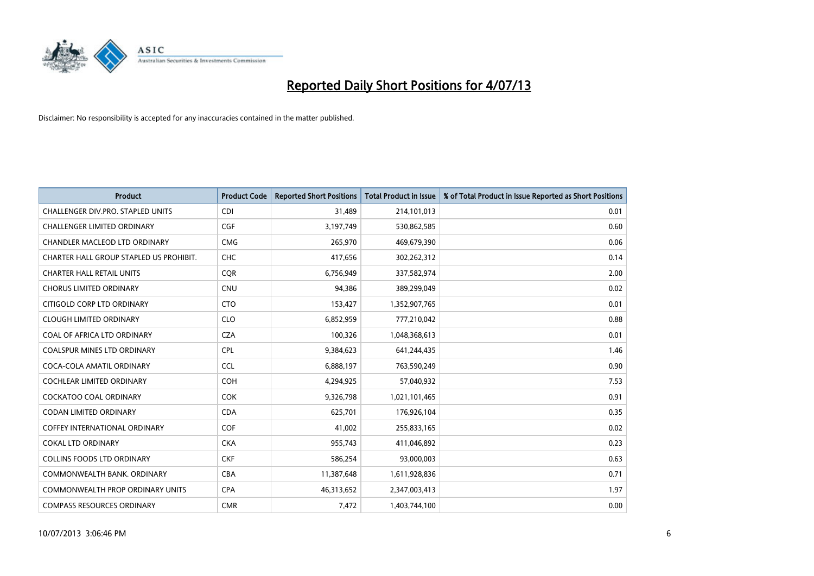

| <b>Product</b>                          | <b>Product Code</b> | <b>Reported Short Positions</b> | <b>Total Product in Issue</b> | % of Total Product in Issue Reported as Short Positions |
|-----------------------------------------|---------------------|---------------------------------|-------------------------------|---------------------------------------------------------|
| CHALLENGER DIV.PRO. STAPLED UNITS       | <b>CDI</b>          | 31,489                          | 214,101,013                   | 0.01                                                    |
| CHALLENGER LIMITED ORDINARY             | <b>CGF</b>          | 3,197,749                       | 530,862,585                   | 0.60                                                    |
| CHANDLER MACLEOD LTD ORDINARY           | <b>CMG</b>          | 265,970                         | 469,679,390                   | 0.06                                                    |
| CHARTER HALL GROUP STAPLED US PROHIBIT. | <b>CHC</b>          | 417,656                         | 302,262,312                   | 0.14                                                    |
| <b>CHARTER HALL RETAIL UNITS</b>        | <b>COR</b>          | 6,756,949                       | 337,582,974                   | 2.00                                                    |
| <b>CHORUS LIMITED ORDINARY</b>          | <b>CNU</b>          | 94,386                          | 389,299,049                   | 0.02                                                    |
| CITIGOLD CORP LTD ORDINARY              | <b>CTO</b>          | 153,427                         | 1,352,907,765                 | 0.01                                                    |
| <b>CLOUGH LIMITED ORDINARY</b>          | <b>CLO</b>          | 6,852,959                       | 777,210,042                   | 0.88                                                    |
| COAL OF AFRICA LTD ORDINARY             | <b>CZA</b>          | 100,326                         | 1,048,368,613                 | 0.01                                                    |
| <b>COALSPUR MINES LTD ORDINARY</b>      | <b>CPL</b>          | 9,384,623                       | 641,244,435                   | 1.46                                                    |
| COCA-COLA AMATIL ORDINARY               | <b>CCL</b>          | 6,888,197                       | 763,590,249                   | 0.90                                                    |
| <b>COCHLEAR LIMITED ORDINARY</b>        | <b>COH</b>          | 4,294,925                       | 57,040,932                    | 7.53                                                    |
| <b>COCKATOO COAL ORDINARY</b>           | <b>COK</b>          | 9,326,798                       | 1,021,101,465                 | 0.91                                                    |
| <b>CODAN LIMITED ORDINARY</b>           | <b>CDA</b>          | 625,701                         | 176,926,104                   | 0.35                                                    |
| <b>COFFEY INTERNATIONAL ORDINARY</b>    | COF                 | 41,002                          | 255,833,165                   | 0.02                                                    |
| <b>COKAL LTD ORDINARY</b>               | <b>CKA</b>          | 955,743                         | 411,046,892                   | 0.23                                                    |
| <b>COLLINS FOODS LTD ORDINARY</b>       | <b>CKF</b>          | 586,254                         | 93,000,003                    | 0.63                                                    |
| COMMONWEALTH BANK, ORDINARY             | <b>CBA</b>          | 11,387,648                      | 1,611,928,836                 | 0.71                                                    |
| COMMONWEALTH PROP ORDINARY UNITS        | <b>CPA</b>          | 46,313,652                      | 2,347,003,413                 | 1.97                                                    |
| <b>COMPASS RESOURCES ORDINARY</b>       | <b>CMR</b>          | 7,472                           | 1,403,744,100                 | 0.00                                                    |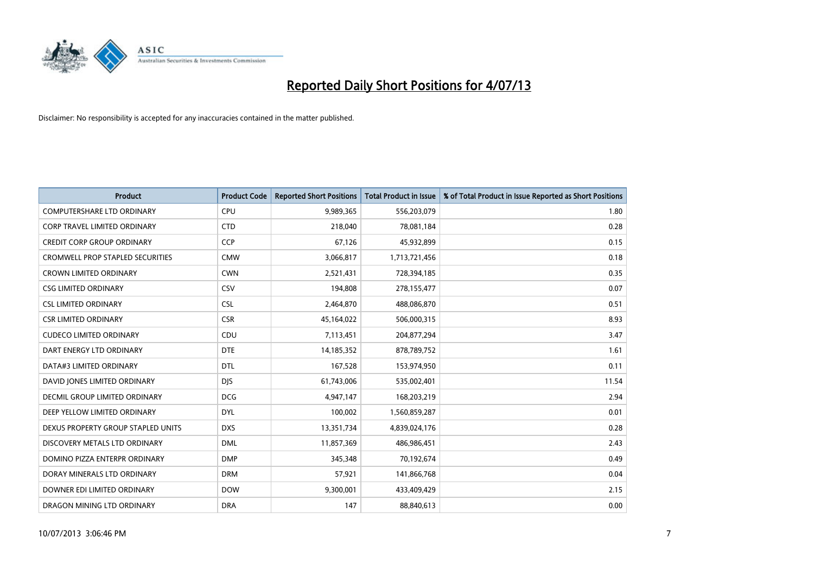

| <b>Product</b>                          | <b>Product Code</b> | <b>Reported Short Positions</b> | <b>Total Product in Issue</b> | % of Total Product in Issue Reported as Short Positions |
|-----------------------------------------|---------------------|---------------------------------|-------------------------------|---------------------------------------------------------|
| <b>COMPUTERSHARE LTD ORDINARY</b>       | <b>CPU</b>          | 9,989,365                       | 556,203,079                   | 1.80                                                    |
| <b>CORP TRAVEL LIMITED ORDINARY</b>     | <b>CTD</b>          | 218,040                         | 78,081,184                    | 0.28                                                    |
| <b>CREDIT CORP GROUP ORDINARY</b>       | <b>CCP</b>          | 67,126                          | 45,932,899                    | 0.15                                                    |
| <b>CROMWELL PROP STAPLED SECURITIES</b> | <b>CMW</b>          | 3,066,817                       | 1,713,721,456                 | 0.18                                                    |
| <b>CROWN LIMITED ORDINARY</b>           | <b>CWN</b>          | 2,521,431                       | 728,394,185                   | 0.35                                                    |
| <b>CSG LIMITED ORDINARY</b>             | CSV                 | 194,808                         | 278,155,477                   | 0.07                                                    |
| <b>CSL LIMITED ORDINARY</b>             | <b>CSL</b>          | 2,464,870                       | 488,086,870                   | 0.51                                                    |
| <b>CSR LIMITED ORDINARY</b>             | <b>CSR</b>          | 45,164,022                      | 506,000,315                   | 8.93                                                    |
| <b>CUDECO LIMITED ORDINARY</b>          | CDU                 | 7,113,451                       | 204,877,294                   | 3.47                                                    |
| DART ENERGY LTD ORDINARY                | <b>DTE</b>          | 14,185,352                      | 878,789,752                   | 1.61                                                    |
| DATA#3 LIMITED ORDINARY                 | <b>DTL</b>          | 167,528                         | 153,974,950                   | 0.11                                                    |
| DAVID JONES LIMITED ORDINARY            | <b>DJS</b>          | 61,743,006                      | 535,002,401                   | 11.54                                                   |
| <b>DECMIL GROUP LIMITED ORDINARY</b>    | <b>DCG</b>          | 4,947,147                       | 168,203,219                   | 2.94                                                    |
| DEEP YELLOW LIMITED ORDINARY            | <b>DYL</b>          | 100,002                         | 1,560,859,287                 | 0.01                                                    |
| DEXUS PROPERTY GROUP STAPLED UNITS      | <b>DXS</b>          | 13,351,734                      | 4,839,024,176                 | 0.28                                                    |
| DISCOVERY METALS LTD ORDINARY           | <b>DML</b>          | 11,857,369                      | 486,986,451                   | 2.43                                                    |
| DOMINO PIZZA ENTERPR ORDINARY           | <b>DMP</b>          | 345,348                         | 70,192,674                    | 0.49                                                    |
| DORAY MINERALS LTD ORDINARY             | <b>DRM</b>          | 57,921                          | 141,866,768                   | 0.04                                                    |
| DOWNER EDI LIMITED ORDINARY             | <b>DOW</b>          | 9,300,001                       | 433,409,429                   | 2.15                                                    |
| DRAGON MINING LTD ORDINARY              | <b>DRA</b>          | 147                             | 88,840,613                    | 0.00                                                    |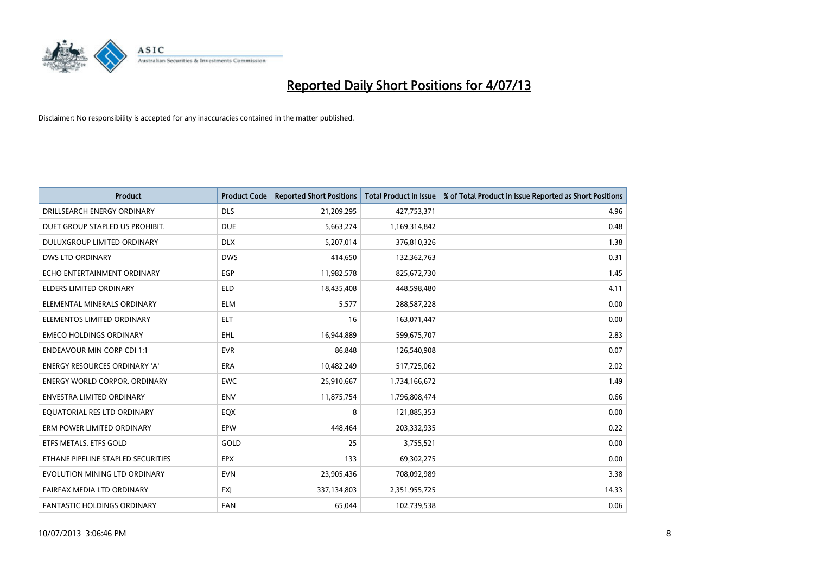

| <b>Product</b>                     | <b>Product Code</b> | <b>Reported Short Positions</b> | <b>Total Product in Issue</b> | % of Total Product in Issue Reported as Short Positions |
|------------------------------------|---------------------|---------------------------------|-------------------------------|---------------------------------------------------------|
| DRILLSEARCH ENERGY ORDINARY        | <b>DLS</b>          | 21,209,295                      | 427,753,371                   | 4.96                                                    |
| DUET GROUP STAPLED US PROHIBIT.    | <b>DUE</b>          | 5,663,274                       | 1,169,314,842                 | 0.48                                                    |
| DULUXGROUP LIMITED ORDINARY        | <b>DLX</b>          | 5,207,014                       | 376,810,326                   | 1.38                                                    |
| <b>DWS LTD ORDINARY</b>            | <b>DWS</b>          | 414,650                         | 132,362,763                   | 0.31                                                    |
| ECHO ENTERTAINMENT ORDINARY        | <b>EGP</b>          | 11,982,578                      | 825,672,730                   | 1.45                                                    |
| <b>ELDERS LIMITED ORDINARY</b>     | <b>ELD</b>          | 18,435,408                      | 448,598,480                   | 4.11                                                    |
| ELEMENTAL MINERALS ORDINARY        | <b>ELM</b>          | 5,577                           | 288,587,228                   | 0.00                                                    |
| ELEMENTOS LIMITED ORDINARY         | <b>ELT</b>          | 16                              | 163,071,447                   | 0.00                                                    |
| <b>EMECO HOLDINGS ORDINARY</b>     | <b>EHL</b>          | 16,944,889                      | 599,675,707                   | 2.83                                                    |
| <b>ENDEAVOUR MIN CORP CDI 1:1</b>  | <b>EVR</b>          | 86,848                          | 126,540,908                   | 0.07                                                    |
| ENERGY RESOURCES ORDINARY 'A'      | <b>ERA</b>          | 10,482,249                      | 517,725,062                   | 2.02                                                    |
| ENERGY WORLD CORPOR. ORDINARY      | <b>EWC</b>          | 25,910,667                      | 1,734,166,672                 | 1.49                                                    |
| <b>ENVESTRA LIMITED ORDINARY</b>   | <b>ENV</b>          | 11,875,754                      | 1,796,808,474                 | 0.66                                                    |
| EQUATORIAL RES LTD ORDINARY        | EQX                 | 8                               | 121,885,353                   | 0.00                                                    |
| ERM POWER LIMITED ORDINARY         | EPW                 | 448,464                         | 203,332,935                   | 0.22                                                    |
| ETFS METALS. ETFS GOLD             | GOLD                | 25                              | 3,755,521                     | 0.00                                                    |
| ETHANE PIPELINE STAPLED SECURITIES | <b>EPX</b>          | 133                             | 69,302,275                    | 0.00                                                    |
| EVOLUTION MINING LTD ORDINARY      | <b>EVN</b>          | 23,905,436                      | 708,092,989                   | 3.38                                                    |
| FAIRFAX MEDIA LTD ORDINARY         | <b>FXJ</b>          | 337,134,803                     | 2,351,955,725                 | 14.33                                                   |
| <b>FANTASTIC HOLDINGS ORDINARY</b> | <b>FAN</b>          | 65,044                          | 102,739,538                   | 0.06                                                    |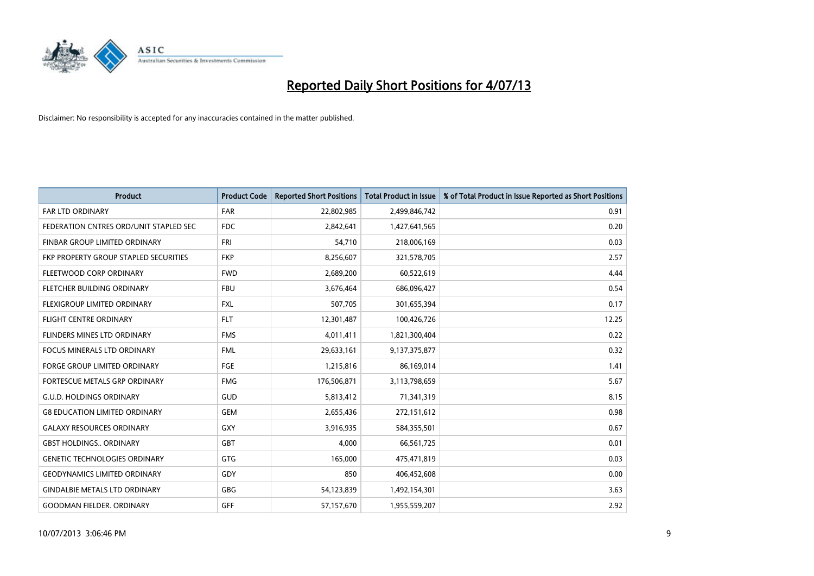

| <b>Product</b>                         | <b>Product Code</b> | <b>Reported Short Positions</b> | <b>Total Product in Issue</b> | % of Total Product in Issue Reported as Short Positions |
|----------------------------------------|---------------------|---------------------------------|-------------------------------|---------------------------------------------------------|
| <b>FAR LTD ORDINARY</b>                | <b>FAR</b>          | 22,802,985                      | 2,499,846,742                 | 0.91                                                    |
| FEDERATION CNTRES ORD/UNIT STAPLED SEC | <b>FDC</b>          | 2,842,641                       | 1,427,641,565                 | 0.20                                                    |
| FINBAR GROUP LIMITED ORDINARY          | <b>FRI</b>          | 54,710                          | 218,006,169                   | 0.03                                                    |
| FKP PROPERTY GROUP STAPLED SECURITIES  | <b>FKP</b>          | 8,256,607                       | 321,578,705                   | 2.57                                                    |
| FLEETWOOD CORP ORDINARY                | <b>FWD</b>          | 2,689,200                       | 60,522,619                    | 4.44                                                    |
| FLETCHER BUILDING ORDINARY             | <b>FBU</b>          | 3,676,464                       | 686,096,427                   | 0.54                                                    |
| <b>FLEXIGROUP LIMITED ORDINARY</b>     | <b>FXL</b>          | 507,705                         | 301,655,394                   | 0.17                                                    |
| <b>FLIGHT CENTRE ORDINARY</b>          | <b>FLT</b>          | 12,301,487                      | 100,426,726                   | 12.25                                                   |
| FLINDERS MINES LTD ORDINARY            | <b>FMS</b>          | 4,011,411                       | 1,821,300,404                 | 0.22                                                    |
| <b>FOCUS MINERALS LTD ORDINARY</b>     | <b>FML</b>          | 29,633,161                      | 9,137,375,877                 | 0.32                                                    |
| FORGE GROUP LIMITED ORDINARY           | FGE                 | 1,215,816                       | 86,169,014                    | 1.41                                                    |
| <b>FORTESCUE METALS GRP ORDINARY</b>   | <b>FMG</b>          | 176,506,871                     | 3,113,798,659                 | 5.67                                                    |
| <b>G.U.D. HOLDINGS ORDINARY</b>        | GUD                 | 5,813,412                       | 71,341,319                    | 8.15                                                    |
| <b>G8 EDUCATION LIMITED ORDINARY</b>   | GEM                 | 2,655,436                       | 272,151,612                   | 0.98                                                    |
| <b>GALAXY RESOURCES ORDINARY</b>       | <b>GXY</b>          | 3,916,935                       | 584,355,501                   | 0.67                                                    |
| <b>GBST HOLDINGS ORDINARY</b>          | GBT                 | 4,000                           | 66,561,725                    | 0.01                                                    |
| <b>GENETIC TECHNOLOGIES ORDINARY</b>   | GTG                 | 165,000                         | 475,471,819                   | 0.03                                                    |
| <b>GEODYNAMICS LIMITED ORDINARY</b>    | GDY                 | 850                             | 406,452,608                   | 0.00                                                    |
| <b>GINDALBIE METALS LTD ORDINARY</b>   | <b>GBG</b>          | 54,123,839                      | 1,492,154,301                 | 3.63                                                    |
| <b>GOODMAN FIELDER. ORDINARY</b>       | GFF                 | 57,157,670                      | 1,955,559,207                 | 2.92                                                    |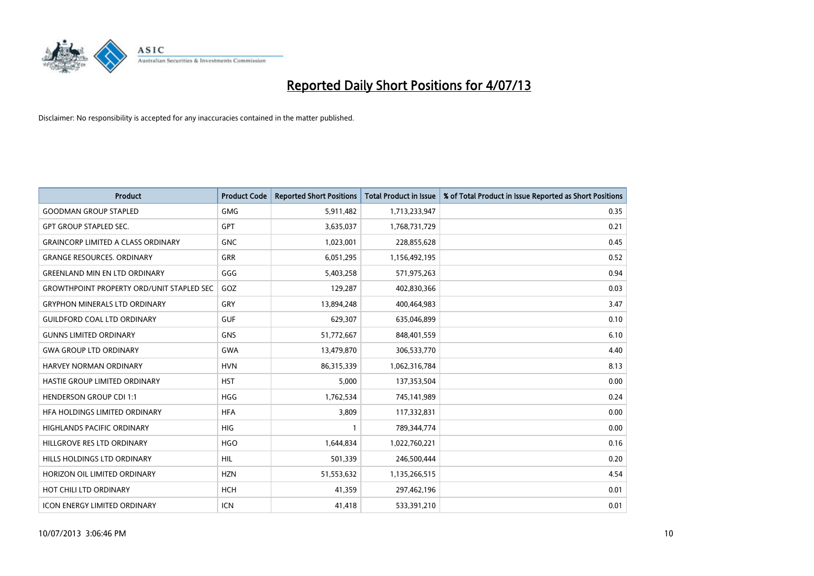

| Product                                          | <b>Product Code</b> | <b>Reported Short Positions</b> | <b>Total Product in Issue</b> | % of Total Product in Issue Reported as Short Positions |
|--------------------------------------------------|---------------------|---------------------------------|-------------------------------|---------------------------------------------------------|
| <b>GOODMAN GROUP STAPLED</b>                     | <b>GMG</b>          | 5,911,482                       | 1,713,233,947                 | 0.35                                                    |
| <b>GPT GROUP STAPLED SEC.</b>                    | <b>GPT</b>          | 3,635,037                       | 1,768,731,729                 | 0.21                                                    |
| <b>GRAINCORP LIMITED A CLASS ORDINARY</b>        | <b>GNC</b>          | 1,023,001                       | 228,855,628                   | 0.45                                                    |
| <b>GRANGE RESOURCES, ORDINARY</b>                | GRR                 | 6,051,295                       | 1,156,492,195                 | 0.52                                                    |
| <b>GREENLAND MIN EN LTD ORDINARY</b>             | GGG                 | 5,403,258                       | 571,975,263                   | 0.94                                                    |
| <b>GROWTHPOINT PROPERTY ORD/UNIT STAPLED SEC</b> | GOZ                 | 129,287                         | 402,830,366                   | 0.03                                                    |
| <b>GRYPHON MINERALS LTD ORDINARY</b>             | <b>GRY</b>          | 13,894,248                      | 400,464,983                   | 3.47                                                    |
| <b>GUILDFORD COAL LTD ORDINARY</b>               | <b>GUF</b>          | 629,307                         | 635,046,899                   | 0.10                                                    |
| <b>GUNNS LIMITED ORDINARY</b>                    | <b>GNS</b>          | 51,772,667                      | 848,401,559                   | 6.10                                                    |
| <b>GWA GROUP LTD ORDINARY</b>                    | <b>GWA</b>          | 13,479,870                      | 306,533,770                   | 4.40                                                    |
| HARVEY NORMAN ORDINARY                           | <b>HVN</b>          | 86,315,339                      | 1,062,316,784                 | 8.13                                                    |
| HASTIE GROUP LIMITED ORDINARY                    | <b>HST</b>          | 5,000                           | 137,353,504                   | 0.00                                                    |
| <b>HENDERSON GROUP CDI 1:1</b>                   | <b>HGG</b>          | 1,762,534                       | 745,141,989                   | 0.24                                                    |
| HEA HOLDINGS LIMITED ORDINARY                    | <b>HFA</b>          | 3,809                           | 117,332,831                   | 0.00                                                    |
| HIGHLANDS PACIFIC ORDINARY                       | <b>HIG</b>          | $\mathbf{1}$                    | 789,344,774                   | 0.00                                                    |
| HILLGROVE RES LTD ORDINARY                       | <b>HGO</b>          | 1,644,834                       | 1,022,760,221                 | 0.16                                                    |
| HILLS HOLDINGS LTD ORDINARY                      | <b>HIL</b>          | 501,339                         | 246,500,444                   | 0.20                                                    |
| HORIZON OIL LIMITED ORDINARY                     | <b>HZN</b>          | 51,553,632                      | 1,135,266,515                 | 4.54                                                    |
| HOT CHILI LTD ORDINARY                           | <b>HCH</b>          | 41,359                          | 297,462,196                   | 0.01                                                    |
| <b>ICON ENERGY LIMITED ORDINARY</b>              | <b>ICN</b>          | 41,418                          | 533,391,210                   | 0.01                                                    |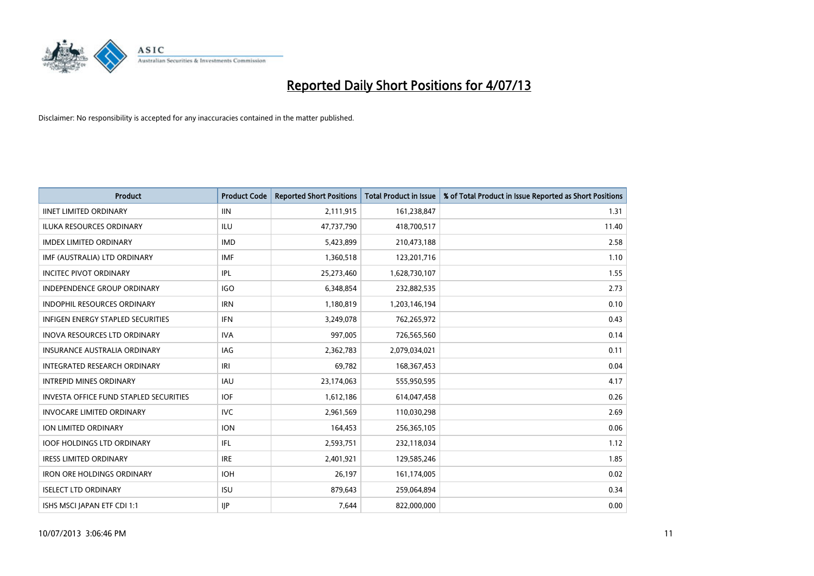

| <b>Product</b>                                | <b>Product Code</b> | <b>Reported Short Positions</b> | <b>Total Product in Issue</b> | % of Total Product in Issue Reported as Short Positions |
|-----------------------------------------------|---------------------|---------------------------------|-------------------------------|---------------------------------------------------------|
| <b>IINET LIMITED ORDINARY</b>                 | <b>IIN</b>          | 2,111,915                       | 161,238,847                   | 1.31                                                    |
| <b>ILUKA RESOURCES ORDINARY</b>               | ILU                 | 47,737,790                      | 418,700,517                   | 11.40                                                   |
| <b>IMDEX LIMITED ORDINARY</b>                 | <b>IMD</b>          | 5,423,899                       | 210,473,188                   | 2.58                                                    |
| IMF (AUSTRALIA) LTD ORDINARY                  | <b>IMF</b>          | 1,360,518                       | 123,201,716                   | 1.10                                                    |
| <b>INCITEC PIVOT ORDINARY</b>                 | IPL                 | 25,273,460                      | 1,628,730,107                 | 1.55                                                    |
| <b>INDEPENDENCE GROUP ORDINARY</b>            | <b>IGO</b>          | 6,348,854                       | 232,882,535                   | 2.73                                                    |
| <b>INDOPHIL RESOURCES ORDINARY</b>            | <b>IRN</b>          | 1,180,819                       | 1,203,146,194                 | 0.10                                                    |
| <b>INFIGEN ENERGY STAPLED SECURITIES</b>      | <b>IFN</b>          | 3,249,078                       | 762,265,972                   | 0.43                                                    |
| INOVA RESOURCES LTD ORDINARY                  | <b>IVA</b>          | 997,005                         | 726,565,560                   | 0.14                                                    |
| <b>INSURANCE AUSTRALIA ORDINARY</b>           | <b>IAG</b>          | 2,362,783                       | 2,079,034,021                 | 0.11                                                    |
| INTEGRATED RESEARCH ORDINARY                  | IRI                 | 69,782                          | 168,367,453                   | 0.04                                                    |
| <b>INTREPID MINES ORDINARY</b>                | IAU                 | 23,174,063                      | 555,950,595                   | 4.17                                                    |
| <b>INVESTA OFFICE FUND STAPLED SECURITIES</b> | <b>IOF</b>          | 1,612,186                       | 614,047,458                   | 0.26                                                    |
| <b>INVOCARE LIMITED ORDINARY</b>              | <b>IVC</b>          | 2,961,569                       | 110,030,298                   | 2.69                                                    |
| ION LIMITED ORDINARY                          | <b>ION</b>          | 164,453                         | 256,365,105                   | 0.06                                                    |
| <b>IOOF HOLDINGS LTD ORDINARY</b>             | IFL                 | 2,593,751                       | 232,118,034                   | 1.12                                                    |
| <b>IRESS LIMITED ORDINARY</b>                 | <b>IRE</b>          | 2,401,921                       | 129,585,246                   | 1.85                                                    |
| <b>IRON ORE HOLDINGS ORDINARY</b>             | <b>IOH</b>          | 26,197                          | 161,174,005                   | 0.02                                                    |
| <b>ISELECT LTD ORDINARY</b>                   | <b>ISU</b>          | 879,643                         | 259,064,894                   | 0.34                                                    |
| ISHS MSCI JAPAN ETF CDI 1:1                   | IJР                 | 7,644                           | 822,000,000                   | 0.00                                                    |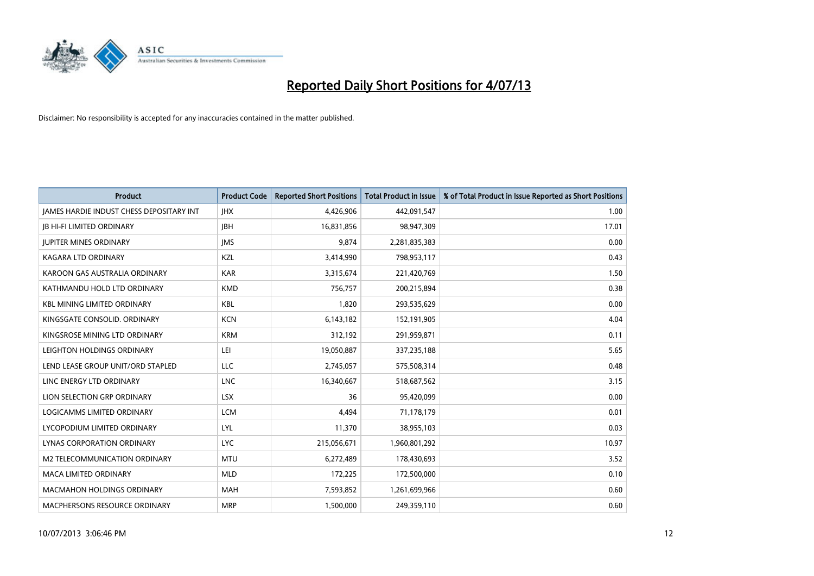

| <b>Product</b>                                  | <b>Product Code</b> | <b>Reported Short Positions</b> | <b>Total Product in Issue</b> | % of Total Product in Issue Reported as Short Positions |
|-------------------------------------------------|---------------------|---------------------------------|-------------------------------|---------------------------------------------------------|
| <b>JAMES HARDIE INDUST CHESS DEPOSITARY INT</b> | <b>IHX</b>          | 4,426,906                       | 442,091,547                   | 1.00                                                    |
| <b>JB HI-FI LIMITED ORDINARY</b>                | <b>JBH</b>          | 16,831,856                      | 98,947,309                    | 17.01                                                   |
| <b>JUPITER MINES ORDINARY</b>                   | <b>IMS</b>          | 9,874                           | 2,281,835,383                 | 0.00                                                    |
| <b>KAGARA LTD ORDINARY</b>                      | <b>KZL</b>          | 3,414,990                       | 798,953,117                   | 0.43                                                    |
| KAROON GAS AUSTRALIA ORDINARY                   | <b>KAR</b>          | 3,315,674                       | 221,420,769                   | 1.50                                                    |
| KATHMANDU HOLD LTD ORDINARY                     | <b>KMD</b>          | 756,757                         | 200,215,894                   | 0.38                                                    |
| <b>KBL MINING LIMITED ORDINARY</b>              | <b>KBL</b>          | 1,820                           | 293,535,629                   | 0.00                                                    |
| KINGSGATE CONSOLID. ORDINARY                    | <b>KCN</b>          | 6,143,182                       | 152,191,905                   | 4.04                                                    |
| KINGSROSE MINING LTD ORDINARY                   | <b>KRM</b>          | 312,192                         | 291,959,871                   | 0.11                                                    |
| LEIGHTON HOLDINGS ORDINARY                      | LEI                 | 19,050,887                      | 337,235,188                   | 5.65                                                    |
| LEND LEASE GROUP UNIT/ORD STAPLED               | LLC                 | 2,745,057                       | 575,508,314                   | 0.48                                                    |
| LINC ENERGY LTD ORDINARY                        | <b>LNC</b>          | 16,340,667                      | 518,687,562                   | 3.15                                                    |
| LION SELECTION GRP ORDINARY                     | <b>LSX</b>          | 36                              | 95,420,099                    | 0.00                                                    |
| LOGICAMMS LIMITED ORDINARY                      | <b>LCM</b>          | 4,494                           | 71,178,179                    | 0.01                                                    |
| LYCOPODIUM LIMITED ORDINARY                     | <b>LYL</b>          | 11,370                          | 38,955,103                    | 0.03                                                    |
| LYNAS CORPORATION ORDINARY                      | <b>LYC</b>          | 215,056,671                     | 1,960,801,292                 | 10.97                                                   |
| M2 TELECOMMUNICATION ORDINARY                   | <b>MTU</b>          | 6,272,489                       | 178,430,693                   | 3.52                                                    |
| <b>MACA LIMITED ORDINARY</b>                    | <b>MLD</b>          | 172,225                         | 172,500,000                   | 0.10                                                    |
| <b>MACMAHON HOLDINGS ORDINARY</b>               | <b>MAH</b>          | 7,593,852                       | 1,261,699,966                 | 0.60                                                    |
| MACPHERSONS RESOURCE ORDINARY                   | <b>MRP</b>          | 1,500,000                       | 249,359,110                   | 0.60                                                    |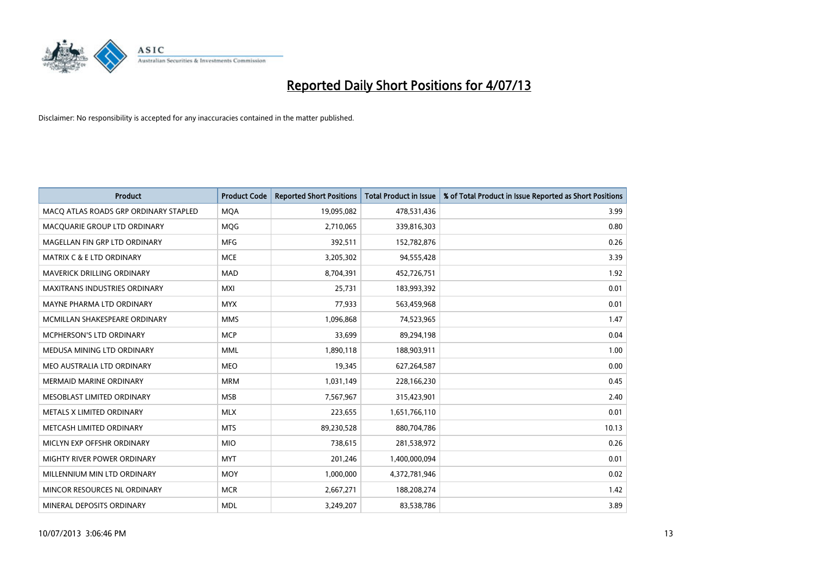

| <b>Product</b>                        | <b>Product Code</b> | <b>Reported Short Positions</b> | <b>Total Product in Issue</b> | % of Total Product in Issue Reported as Short Positions |
|---------------------------------------|---------------------|---------------------------------|-------------------------------|---------------------------------------------------------|
| MACO ATLAS ROADS GRP ORDINARY STAPLED | <b>MQA</b>          | 19,095,082                      | 478,531,436                   | 3.99                                                    |
| MACQUARIE GROUP LTD ORDINARY          | <b>MOG</b>          | 2,710,065                       | 339,816,303                   | 0.80                                                    |
| MAGELLAN FIN GRP LTD ORDINARY         | <b>MFG</b>          | 392,511                         | 152,782,876                   | 0.26                                                    |
| <b>MATRIX C &amp; E LTD ORDINARY</b>  | <b>MCE</b>          | 3,205,302                       | 94,555,428                    | 3.39                                                    |
| <b>MAVERICK DRILLING ORDINARY</b>     | <b>MAD</b>          | 8,704,391                       | 452,726,751                   | 1.92                                                    |
| <b>MAXITRANS INDUSTRIES ORDINARY</b>  | <b>MXI</b>          | 25,731                          | 183,993,392                   | 0.01                                                    |
| MAYNE PHARMA LTD ORDINARY             | <b>MYX</b>          | 77,933                          | 563,459,968                   | 0.01                                                    |
| MCMILLAN SHAKESPEARE ORDINARY         | <b>MMS</b>          | 1,096,868                       | 74,523,965                    | 1.47                                                    |
| <b>MCPHERSON'S LTD ORDINARY</b>       | <b>MCP</b>          | 33,699                          | 89,294,198                    | 0.04                                                    |
| MEDUSA MINING LTD ORDINARY            | <b>MML</b>          | 1,890,118                       | 188,903,911                   | 1.00                                                    |
| MEO AUSTRALIA LTD ORDINARY            | <b>MEO</b>          | 19,345                          | 627,264,587                   | 0.00                                                    |
| <b>MERMAID MARINE ORDINARY</b>        | <b>MRM</b>          | 1,031,149                       | 228,166,230                   | 0.45                                                    |
| MESOBLAST LIMITED ORDINARY            | <b>MSB</b>          | 7,567,967                       | 315,423,901                   | 2.40                                                    |
| METALS X LIMITED ORDINARY             | <b>MLX</b>          | 223,655                         | 1,651,766,110                 | 0.01                                                    |
| METCASH LIMITED ORDINARY              | <b>MTS</b>          | 89,230,528                      | 880,704,786                   | 10.13                                                   |
| MICLYN EXP OFFSHR ORDINARY            | <b>MIO</b>          | 738,615                         | 281,538,972                   | 0.26                                                    |
| MIGHTY RIVER POWER ORDINARY           | <b>MYT</b>          | 201,246                         | 1,400,000,094                 | 0.01                                                    |
| MILLENNIUM MIN LTD ORDINARY           | <b>MOY</b>          | 1,000,000                       | 4,372,781,946                 | 0.02                                                    |
| MINCOR RESOURCES NL ORDINARY          | <b>MCR</b>          | 2,667,271                       | 188,208,274                   | 1.42                                                    |
| MINERAL DEPOSITS ORDINARY             | <b>MDL</b>          | 3,249,207                       | 83,538,786                    | 3.89                                                    |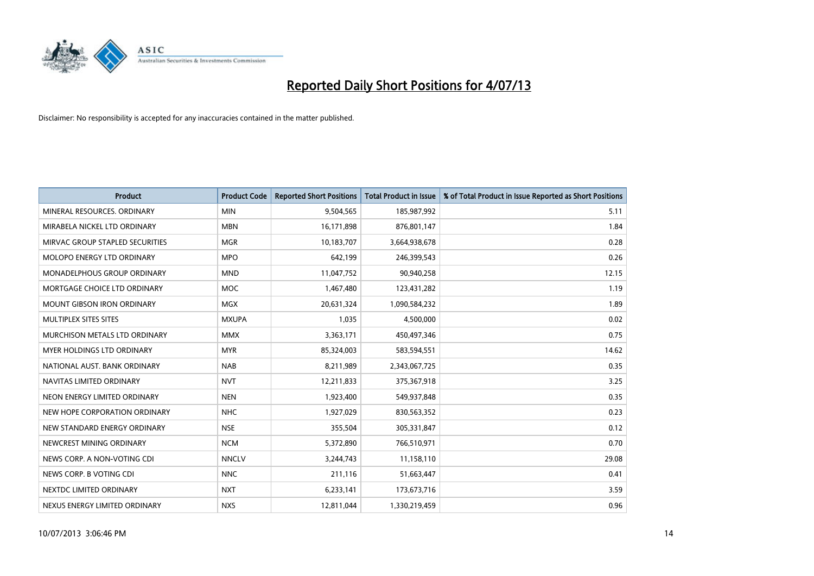

| <b>Product</b>                     | <b>Product Code</b> | <b>Reported Short Positions</b> | <b>Total Product in Issue</b> | % of Total Product in Issue Reported as Short Positions |
|------------------------------------|---------------------|---------------------------------|-------------------------------|---------------------------------------------------------|
| MINERAL RESOURCES, ORDINARY        | <b>MIN</b>          | 9,504,565                       | 185,987,992                   | 5.11                                                    |
| MIRABELA NICKEL LTD ORDINARY       | <b>MBN</b>          | 16,171,898                      | 876,801,147                   | 1.84                                                    |
| MIRVAC GROUP STAPLED SECURITIES    | <b>MGR</b>          | 10,183,707                      | 3,664,938,678                 | 0.28                                                    |
| MOLOPO ENERGY LTD ORDINARY         | <b>MPO</b>          | 642,199                         | 246,399,543                   | 0.26                                                    |
| <b>MONADELPHOUS GROUP ORDINARY</b> | <b>MND</b>          | 11,047,752                      | 90,940,258                    | 12.15                                                   |
| MORTGAGE CHOICE LTD ORDINARY       | <b>MOC</b>          | 1,467,480                       | 123,431,282                   | 1.19                                                    |
| <b>MOUNT GIBSON IRON ORDINARY</b>  | <b>MGX</b>          | 20,631,324                      | 1,090,584,232                 | 1.89                                                    |
| MULTIPLEX SITES SITES              | <b>MXUPA</b>        | 1,035                           | 4,500,000                     | 0.02                                                    |
| MURCHISON METALS LTD ORDINARY      | <b>MMX</b>          | 3,363,171                       | 450,497,346                   | 0.75                                                    |
| MYER HOLDINGS LTD ORDINARY         | <b>MYR</b>          | 85,324,003                      | 583,594,551                   | 14.62                                                   |
| NATIONAL AUST. BANK ORDINARY       | <b>NAB</b>          | 8,211,989                       | 2,343,067,725                 | 0.35                                                    |
| NAVITAS LIMITED ORDINARY           | <b>NVT</b>          | 12,211,833                      | 375,367,918                   | 3.25                                                    |
| NEON ENERGY LIMITED ORDINARY       | <b>NEN</b>          | 1,923,400                       | 549,937,848                   | 0.35                                                    |
| NEW HOPE CORPORATION ORDINARY      | <b>NHC</b>          | 1,927,029                       | 830,563,352                   | 0.23                                                    |
| NEW STANDARD ENERGY ORDINARY       | <b>NSE</b>          | 355,504                         | 305,331,847                   | 0.12                                                    |
| NEWCREST MINING ORDINARY           | <b>NCM</b>          | 5,372,890                       | 766,510,971                   | 0.70                                                    |
| NEWS CORP. A NON-VOTING CDI        | <b>NNCLV</b>        | 3,244,743                       | 11,158,110                    | 29.08                                                   |
| NEWS CORP. B VOTING CDI            | <b>NNC</b>          | 211,116                         | 51,663,447                    | 0.41                                                    |
| NEXTDC LIMITED ORDINARY            | <b>NXT</b>          | 6,233,141                       | 173,673,716                   | 3.59                                                    |
| NEXUS ENERGY LIMITED ORDINARY      | <b>NXS</b>          | 12,811,044                      | 1,330,219,459                 | 0.96                                                    |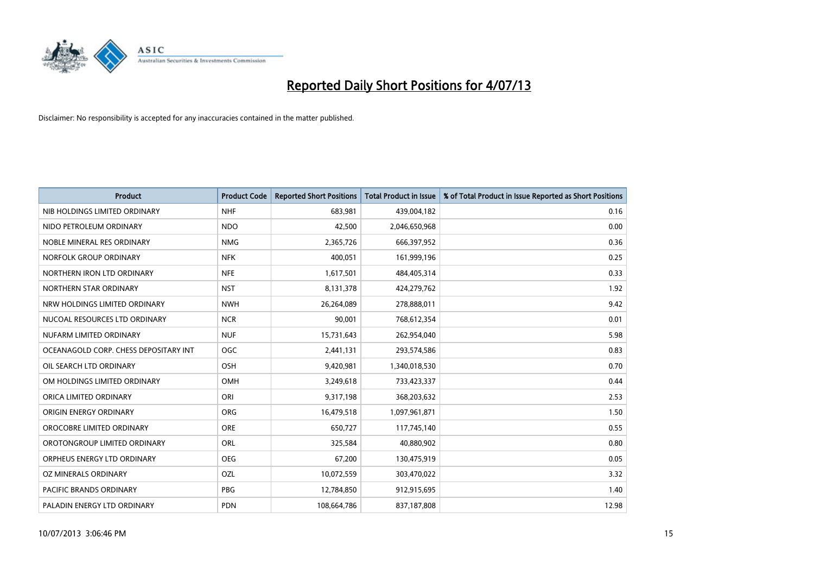

| <b>Product</b>                        | <b>Product Code</b> | <b>Reported Short Positions</b> | <b>Total Product in Issue</b> | % of Total Product in Issue Reported as Short Positions |
|---------------------------------------|---------------------|---------------------------------|-------------------------------|---------------------------------------------------------|
| NIB HOLDINGS LIMITED ORDINARY         | <b>NHF</b>          | 683,981                         | 439,004,182                   | 0.16                                                    |
| NIDO PETROLEUM ORDINARY               | <b>NDO</b>          | 42,500                          | 2,046,650,968                 | 0.00                                                    |
| NOBLE MINERAL RES ORDINARY            | <b>NMG</b>          | 2,365,726                       | 666,397,952                   | 0.36                                                    |
| NORFOLK GROUP ORDINARY                | <b>NFK</b>          | 400,051                         | 161,999,196                   | 0.25                                                    |
| NORTHERN IRON LTD ORDINARY            | <b>NFE</b>          | 1,617,501                       | 484,405,314                   | 0.33                                                    |
| NORTHERN STAR ORDINARY                | <b>NST</b>          | 8,131,378                       | 424,279,762                   | 1.92                                                    |
| NRW HOLDINGS LIMITED ORDINARY         | <b>NWH</b>          | 26,264,089                      | 278,888,011                   | 9.42                                                    |
| NUCOAL RESOURCES LTD ORDINARY         | <b>NCR</b>          | 90,001                          | 768,612,354                   | 0.01                                                    |
| NUFARM LIMITED ORDINARY               | <b>NUF</b>          | 15,731,643                      | 262,954,040                   | 5.98                                                    |
| OCEANAGOLD CORP. CHESS DEPOSITARY INT | <b>OGC</b>          | 2,441,131                       | 293,574,586                   | 0.83                                                    |
| OIL SEARCH LTD ORDINARY               | OSH                 | 9,420,981                       | 1,340,018,530                 | 0.70                                                    |
| OM HOLDINGS LIMITED ORDINARY          | OMH                 | 3,249,618                       | 733,423,337                   | 0.44                                                    |
| ORICA LIMITED ORDINARY                | ORI                 | 9,317,198                       | 368,203,632                   | 2.53                                                    |
| ORIGIN ENERGY ORDINARY                | ORG                 | 16,479,518                      | 1,097,961,871                 | 1.50                                                    |
| OROCOBRE LIMITED ORDINARY             | <b>ORE</b>          | 650,727                         | 117,745,140                   | 0.55                                                    |
| OROTONGROUP LIMITED ORDINARY          | ORL                 | 325,584                         | 40,880,902                    | 0.80                                                    |
| ORPHEUS ENERGY LTD ORDINARY           | <b>OEG</b>          | 67,200                          | 130,475,919                   | 0.05                                                    |
| OZ MINERALS ORDINARY                  | OZL                 | 10,072,559                      | 303,470,022                   | 3.32                                                    |
| <b>PACIFIC BRANDS ORDINARY</b>        | <b>PBG</b>          | 12,784,850                      | 912,915,695                   | 1.40                                                    |
| PALADIN ENERGY LTD ORDINARY           | <b>PDN</b>          | 108,664,786                     | 837,187,808                   | 12.98                                                   |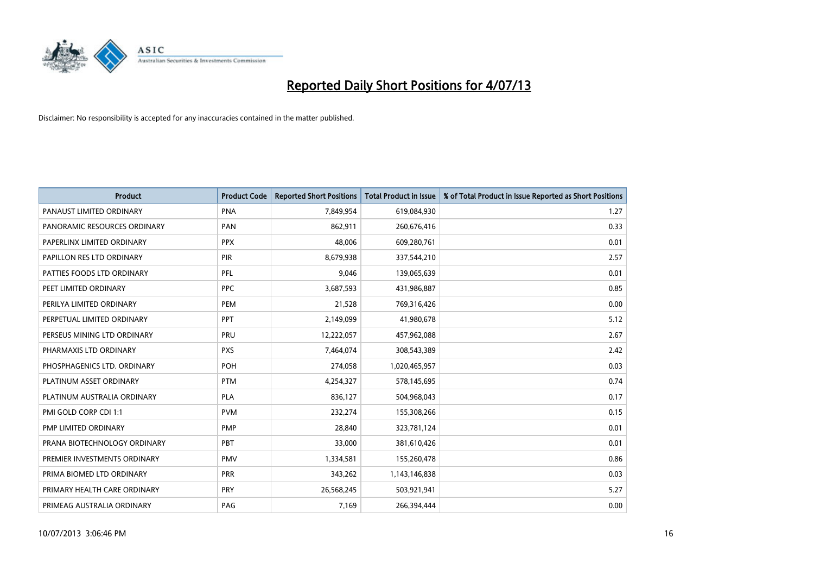

| <b>Product</b>               | <b>Product Code</b> | <b>Reported Short Positions</b> | <b>Total Product in Issue</b> | % of Total Product in Issue Reported as Short Positions |
|------------------------------|---------------------|---------------------------------|-------------------------------|---------------------------------------------------------|
| PANAUST LIMITED ORDINARY     | <b>PNA</b>          | 7,849,954                       | 619,084,930                   | 1.27                                                    |
| PANORAMIC RESOURCES ORDINARY | PAN                 | 862,911                         | 260,676,416                   | 0.33                                                    |
| PAPERLINX LIMITED ORDINARY   | <b>PPX</b>          | 48,006                          | 609,280,761                   | 0.01                                                    |
| PAPILLON RES LTD ORDINARY    | <b>PIR</b>          | 8,679,938                       | 337,544,210                   | 2.57                                                    |
| PATTIES FOODS LTD ORDINARY   | PFL                 | 9,046                           | 139,065,639                   | 0.01                                                    |
| PEET LIMITED ORDINARY        | <b>PPC</b>          | 3,687,593                       | 431,986,887                   | 0.85                                                    |
| PERILYA LIMITED ORDINARY     | <b>PEM</b>          | 21,528                          | 769,316,426                   | 0.00                                                    |
| PERPETUAL LIMITED ORDINARY   | PPT                 | 2,149,099                       | 41,980,678                    | 5.12                                                    |
| PERSEUS MINING LTD ORDINARY  | PRU                 | 12,222,057                      | 457,962,088                   | 2.67                                                    |
| PHARMAXIS LTD ORDINARY       | <b>PXS</b>          | 7,464,074                       | 308,543,389                   | 2.42                                                    |
| PHOSPHAGENICS LTD. ORDINARY  | POH                 | 274,058                         | 1,020,465,957                 | 0.03                                                    |
| PLATINUM ASSET ORDINARY      | <b>PTM</b>          | 4,254,327                       | 578,145,695                   | 0.74                                                    |
| PLATINUM AUSTRALIA ORDINARY  | <b>PLA</b>          | 836,127                         | 504,968,043                   | 0.17                                                    |
| PMI GOLD CORP CDI 1:1        | <b>PVM</b>          | 232,274                         | 155,308,266                   | 0.15                                                    |
| PMP LIMITED ORDINARY         | <b>PMP</b>          | 28,840                          | 323,781,124                   | 0.01                                                    |
| PRANA BIOTECHNOLOGY ORDINARY | <b>PBT</b>          | 33,000                          | 381,610,426                   | 0.01                                                    |
| PREMIER INVESTMENTS ORDINARY | <b>PMV</b>          | 1,334,581                       | 155,260,478                   | 0.86                                                    |
| PRIMA BIOMED LTD ORDINARY    | <b>PRR</b>          | 343,262                         | 1,143,146,838                 | 0.03                                                    |
| PRIMARY HEALTH CARE ORDINARY | <b>PRY</b>          | 26,568,245                      | 503,921,941                   | 5.27                                                    |
| PRIMEAG AUSTRALIA ORDINARY   | PAG                 | 7,169                           | 266,394,444                   | 0.00                                                    |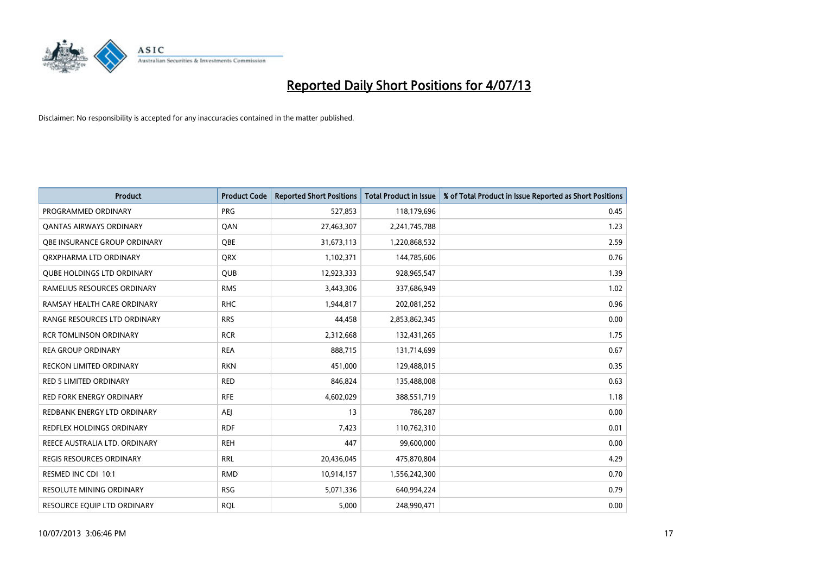

| <b>Product</b>                      | <b>Product Code</b> | <b>Reported Short Positions</b> | <b>Total Product in Issue</b> | % of Total Product in Issue Reported as Short Positions |
|-------------------------------------|---------------------|---------------------------------|-------------------------------|---------------------------------------------------------|
| PROGRAMMED ORDINARY                 | <b>PRG</b>          | 527,853                         | 118,179,696                   | 0.45                                                    |
| <b>QANTAS AIRWAYS ORDINARY</b>      | QAN                 | 27,463,307                      | 2,241,745,788                 | 1.23                                                    |
| <b>OBE INSURANCE GROUP ORDINARY</b> | <b>OBE</b>          | 31,673,113                      | 1,220,868,532                 | 2.59                                                    |
| ORXPHARMA LTD ORDINARY              | <b>QRX</b>          | 1,102,371                       | 144,785,606                   | 0.76                                                    |
| <b>QUBE HOLDINGS LTD ORDINARY</b>   | <b>QUB</b>          | 12,923,333                      | 928,965,547                   | 1.39                                                    |
| RAMELIUS RESOURCES ORDINARY         | <b>RMS</b>          | 3,443,306                       | 337,686,949                   | 1.02                                                    |
| RAMSAY HEALTH CARE ORDINARY         | <b>RHC</b>          | 1,944,817                       | 202,081,252                   | 0.96                                                    |
| RANGE RESOURCES LTD ORDINARY        | <b>RRS</b>          | 44,458                          | 2,853,862,345                 | 0.00                                                    |
| RCR TOMLINSON ORDINARY              | <b>RCR</b>          | 2,312,668                       | 132,431,265                   | 1.75                                                    |
| <b>REA GROUP ORDINARY</b>           | <b>REA</b>          | 888,715                         | 131,714,699                   | 0.67                                                    |
| RECKON LIMITED ORDINARY             | <b>RKN</b>          | 451,000                         | 129,488,015                   | 0.35                                                    |
| <b>RED 5 LIMITED ORDINARY</b>       | <b>RED</b>          | 846,824                         | 135,488,008                   | 0.63                                                    |
| <b>RED FORK ENERGY ORDINARY</b>     | <b>RFE</b>          | 4,602,029                       | 388,551,719                   | 1.18                                                    |
| REDBANK ENERGY LTD ORDINARY         | AEJ                 | 13                              | 786,287                       | 0.00                                                    |
| REDFLEX HOLDINGS ORDINARY           | <b>RDF</b>          | 7,423                           | 110,762,310                   | 0.01                                                    |
| REECE AUSTRALIA LTD. ORDINARY       | <b>REH</b>          | 447                             | 99,600,000                    | 0.00                                                    |
| REGIS RESOURCES ORDINARY            | <b>RRL</b>          | 20,436,045                      | 475,870,804                   | 4.29                                                    |
| RESMED INC CDI 10:1                 | <b>RMD</b>          | 10,914,157                      | 1,556,242,300                 | 0.70                                                    |
| <b>RESOLUTE MINING ORDINARY</b>     | <b>RSG</b>          | 5,071,336                       | 640,994,224                   | 0.79                                                    |
| RESOURCE EQUIP LTD ORDINARY         | <b>RQL</b>          | 5,000                           | 248,990,471                   | 0.00                                                    |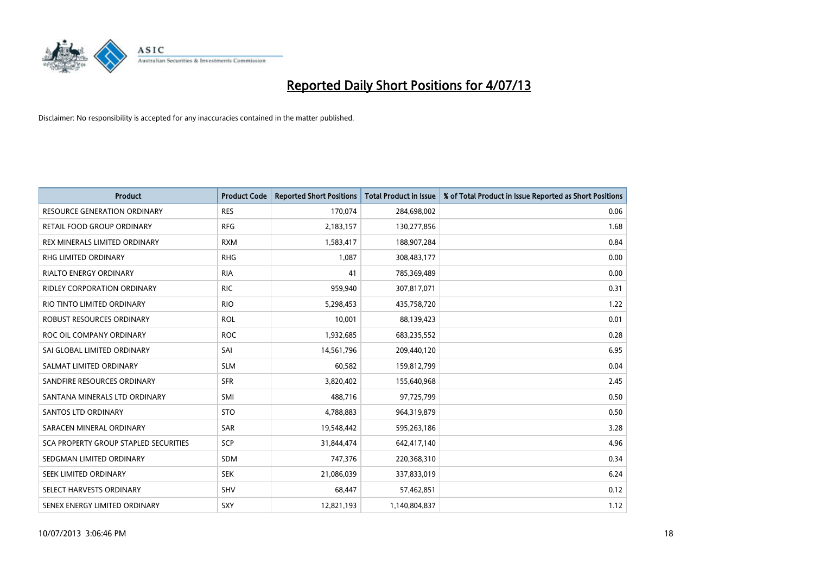

| <b>Product</b>                        | <b>Product Code</b> | <b>Reported Short Positions</b> | <b>Total Product in Issue</b> | % of Total Product in Issue Reported as Short Positions |
|---------------------------------------|---------------------|---------------------------------|-------------------------------|---------------------------------------------------------|
| <b>RESOURCE GENERATION ORDINARY</b>   | <b>RES</b>          | 170,074                         | 284,698,002                   | 0.06                                                    |
| RETAIL FOOD GROUP ORDINARY            | <b>RFG</b>          | 2,183,157                       | 130,277,856                   | 1.68                                                    |
| REX MINERALS LIMITED ORDINARY         | <b>RXM</b>          | 1,583,417                       | 188,907,284                   | 0.84                                                    |
| RHG LIMITED ORDINARY                  | <b>RHG</b>          | 1,087                           | 308,483,177                   | 0.00                                                    |
| <b>RIALTO ENERGY ORDINARY</b>         | <b>RIA</b>          | 41                              | 785,369,489                   | 0.00                                                    |
| <b>RIDLEY CORPORATION ORDINARY</b>    | <b>RIC</b>          | 959,940                         | 307,817,071                   | 0.31                                                    |
| RIO TINTO LIMITED ORDINARY            | <b>RIO</b>          | 5,298,453                       | 435,758,720                   | 1.22                                                    |
| ROBUST RESOURCES ORDINARY             | <b>ROL</b>          | 10,001                          | 88,139,423                    | 0.01                                                    |
| ROC OIL COMPANY ORDINARY              | <b>ROC</b>          | 1,932,685                       | 683,235,552                   | 0.28                                                    |
| SAI GLOBAL LIMITED ORDINARY           | SAI                 | 14,561,796                      | 209,440,120                   | 6.95                                                    |
| SALMAT LIMITED ORDINARY               | <b>SLM</b>          | 60,582                          | 159,812,799                   | 0.04                                                    |
| SANDFIRE RESOURCES ORDINARY           | <b>SFR</b>          | 3,820,402                       | 155,640,968                   | 2.45                                                    |
| SANTANA MINERALS LTD ORDINARY         | SMI                 | 488,716                         | 97,725,799                    | 0.50                                                    |
| SANTOS LTD ORDINARY                   | <b>STO</b>          | 4,788,883                       | 964,319,879                   | 0.50                                                    |
| SARACEN MINERAL ORDINARY              | <b>SAR</b>          | 19,548,442                      | 595,263,186                   | 3.28                                                    |
| SCA PROPERTY GROUP STAPLED SECURITIES | <b>SCP</b>          | 31,844,474                      | 642,417,140                   | 4.96                                                    |
| SEDGMAN LIMITED ORDINARY              | SDM                 | 747,376                         | 220,368,310                   | 0.34                                                    |
| SEEK LIMITED ORDINARY                 | <b>SEK</b>          | 21,086,039                      | 337,833,019                   | 6.24                                                    |
| SELECT HARVESTS ORDINARY              | SHV                 | 68,447                          | 57,462,851                    | 0.12                                                    |
| SENEX ENERGY LIMITED ORDINARY         | SXY                 | 12,821,193                      | 1,140,804,837                 | 1.12                                                    |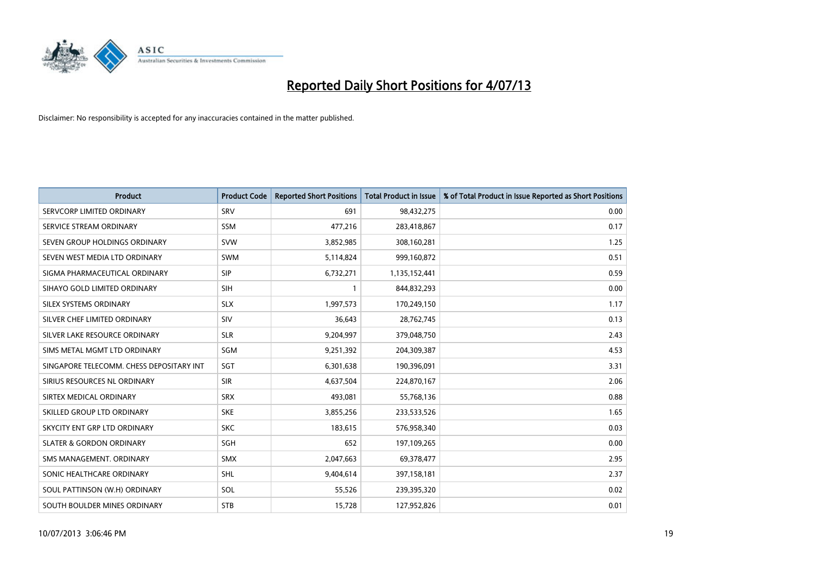

| <b>Product</b>                           | <b>Product Code</b> | <b>Reported Short Positions</b> | <b>Total Product in Issue</b> | % of Total Product in Issue Reported as Short Positions |
|------------------------------------------|---------------------|---------------------------------|-------------------------------|---------------------------------------------------------|
| SERVCORP LIMITED ORDINARY                | SRV                 | 691                             | 98,432,275                    | 0.00                                                    |
| SERVICE STREAM ORDINARY                  | <b>SSM</b>          | 477,216                         | 283,418,867                   | 0.17                                                    |
| SEVEN GROUP HOLDINGS ORDINARY            | <b>SVW</b>          | 3,852,985                       | 308,160,281                   | 1.25                                                    |
| SEVEN WEST MEDIA LTD ORDINARY            | <b>SWM</b>          | 5,114,824                       | 999,160,872                   | 0.51                                                    |
| SIGMA PHARMACEUTICAL ORDINARY            | <b>SIP</b>          | 6,732,271                       | 1,135,152,441                 | 0.59                                                    |
| SIHAYO GOLD LIMITED ORDINARY             | SIH                 | $\mathbf{1}$                    | 844,832,293                   | 0.00                                                    |
| SILEX SYSTEMS ORDINARY                   | <b>SLX</b>          | 1,997,573                       | 170,249,150                   | 1.17                                                    |
| SILVER CHEF LIMITED ORDINARY             | SIV                 | 36,643                          | 28,762,745                    | 0.13                                                    |
| SILVER LAKE RESOURCE ORDINARY            | <b>SLR</b>          | 9,204,997                       | 379,048,750                   | 2.43                                                    |
| SIMS METAL MGMT LTD ORDINARY             | SGM                 | 9,251,392                       | 204,309,387                   | 4.53                                                    |
| SINGAPORE TELECOMM. CHESS DEPOSITARY INT | SGT                 | 6,301,638                       | 190,396,091                   | 3.31                                                    |
| SIRIUS RESOURCES NL ORDINARY             | <b>SIR</b>          | 4,637,504                       | 224,870,167                   | 2.06                                                    |
| SIRTEX MEDICAL ORDINARY                  | <b>SRX</b>          | 493,081                         | 55,768,136                    | 0.88                                                    |
| SKILLED GROUP LTD ORDINARY               | <b>SKE</b>          | 3,855,256                       | 233,533,526                   | 1.65                                                    |
| SKYCITY ENT GRP LTD ORDINARY             | <b>SKC</b>          | 183,615                         | 576,958,340                   | 0.03                                                    |
| <b>SLATER &amp; GORDON ORDINARY</b>      | SGH                 | 652                             | 197,109,265                   | 0.00                                                    |
| SMS MANAGEMENT. ORDINARY                 | SMX                 | 2,047,663                       | 69,378,477                    | 2.95                                                    |
| SONIC HEALTHCARE ORDINARY                | <b>SHL</b>          | 9,404,614                       | 397,158,181                   | 2.37                                                    |
| SOUL PATTINSON (W.H) ORDINARY            | <b>SOL</b>          | 55,526                          | 239,395,320                   | 0.02                                                    |
| SOUTH BOULDER MINES ORDINARY             | <b>STB</b>          | 15,728                          | 127,952,826                   | 0.01                                                    |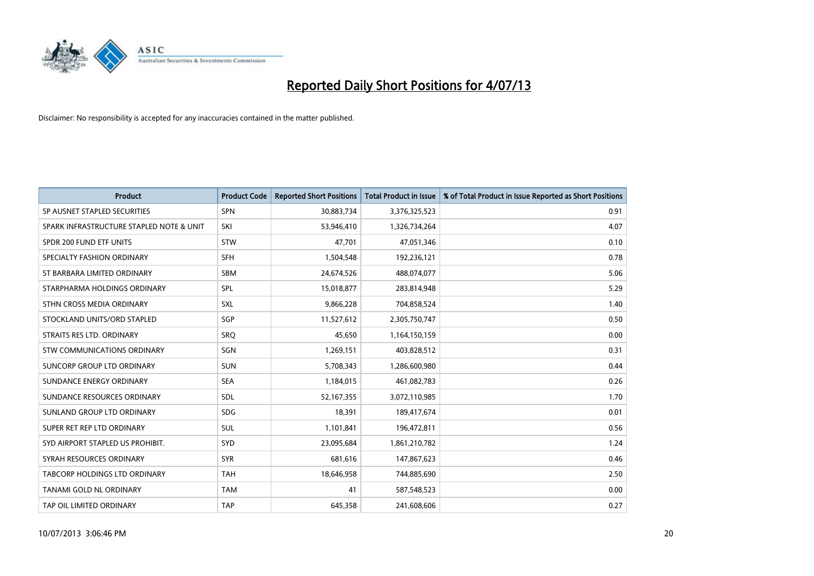

| <b>Product</b>                           | <b>Product Code</b> | <b>Reported Short Positions</b> | <b>Total Product in Issue</b> | % of Total Product in Issue Reported as Short Positions |
|------------------------------------------|---------------------|---------------------------------|-------------------------------|---------------------------------------------------------|
| SP AUSNET STAPLED SECURITIES             | SPN                 | 30,883,734                      | 3,376,325,523                 | 0.91                                                    |
| SPARK INFRASTRUCTURE STAPLED NOTE & UNIT | SKI                 | 53,946,410                      | 1,326,734,264                 | 4.07                                                    |
| SPDR 200 FUND ETF UNITS                  | <b>STW</b>          | 47,701                          | 47,051,346                    | 0.10                                                    |
| SPECIALTY FASHION ORDINARY               | <b>SFH</b>          | 1,504,548                       | 192,236,121                   | 0.78                                                    |
| ST BARBARA LIMITED ORDINARY              | <b>SBM</b>          | 24,674,526                      | 488,074,077                   | 5.06                                                    |
| STARPHARMA HOLDINGS ORDINARY             | SPL                 | 15,018,877                      | 283,814,948                   | 5.29                                                    |
| STHN CROSS MEDIA ORDINARY                | <b>SXL</b>          | 9,866,228                       | 704,858,524                   | 1.40                                                    |
| STOCKLAND UNITS/ORD STAPLED              | SGP                 | 11,527,612                      | 2,305,750,747                 | 0.50                                                    |
| STRAITS RES LTD. ORDINARY                | <b>SRO</b>          | 45,650                          | 1,164,150,159                 | 0.00                                                    |
| STW COMMUNICATIONS ORDINARY              | SGN                 | 1,269,151                       | 403,828,512                   | 0.31                                                    |
| SUNCORP GROUP LTD ORDINARY               | <b>SUN</b>          | 5,708,343                       | 1,286,600,980                 | 0.44                                                    |
| SUNDANCE ENERGY ORDINARY                 | <b>SEA</b>          | 1,184,015                       | 461,082,783                   | 0.26                                                    |
| SUNDANCE RESOURCES ORDINARY              | <b>SDL</b>          | 52,167,355                      | 3,072,110,985                 | 1.70                                                    |
| SUNLAND GROUP LTD ORDINARY               | <b>SDG</b>          | 18,391                          | 189,417,674                   | 0.01                                                    |
| SUPER RET REP LTD ORDINARY               | SUL                 | 1,101,841                       | 196,472,811                   | 0.56                                                    |
| SYD AIRPORT STAPLED US PROHIBIT.         | <b>SYD</b>          | 23,095,684                      | 1,861,210,782                 | 1.24                                                    |
| SYRAH RESOURCES ORDINARY                 | <b>SYR</b>          | 681,616                         | 147,867,623                   | 0.46                                                    |
| TABCORP HOLDINGS LTD ORDINARY            | <b>TAH</b>          | 18,646,958                      | 744,885,690                   | 2.50                                                    |
| TANAMI GOLD NL ORDINARY                  | <b>TAM</b>          | 41                              | 587,548,523                   | 0.00                                                    |
| TAP OIL LIMITED ORDINARY                 | <b>TAP</b>          | 645,358                         | 241,608,606                   | 0.27                                                    |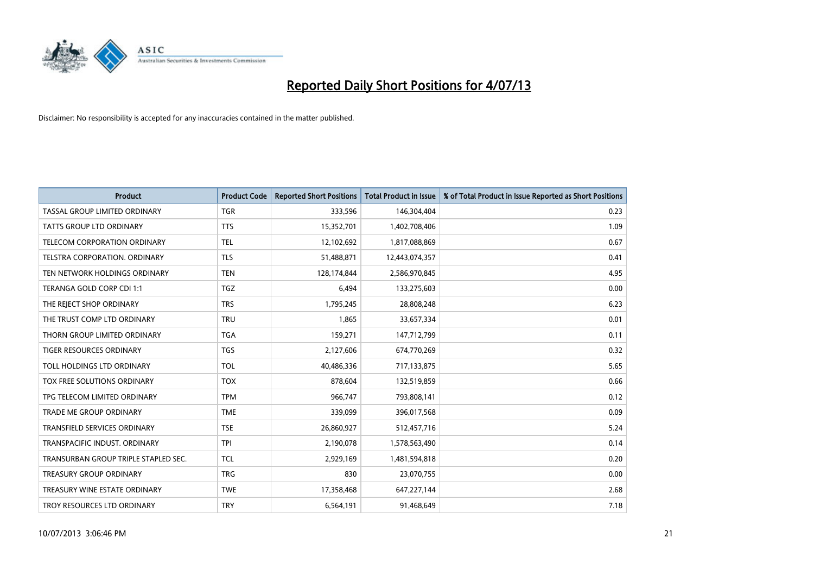

| <b>Product</b>                       | <b>Product Code</b> | <b>Reported Short Positions</b> | <b>Total Product in Issue</b> | % of Total Product in Issue Reported as Short Positions |
|--------------------------------------|---------------------|---------------------------------|-------------------------------|---------------------------------------------------------|
| TASSAL GROUP LIMITED ORDINARY        | <b>TGR</b>          | 333,596                         | 146,304,404                   | 0.23                                                    |
| TATTS GROUP LTD ORDINARY             | <b>TTS</b>          | 15,352,701                      | 1,402,708,406                 | 1.09                                                    |
| <b>TELECOM CORPORATION ORDINARY</b>  | <b>TEL</b>          | 12,102,692                      | 1,817,088,869                 | 0.67                                                    |
| TELSTRA CORPORATION. ORDINARY        | <b>TLS</b>          | 51,488,871                      | 12,443,074,357                | 0.41                                                    |
| TEN NETWORK HOLDINGS ORDINARY        | <b>TEN</b>          | 128,174,844                     | 2,586,970,845                 | 4.95                                                    |
| TERANGA GOLD CORP CDI 1:1            | <b>TGZ</b>          | 6,494                           | 133,275,603                   | 0.00                                                    |
| THE REJECT SHOP ORDINARY             | <b>TRS</b>          | 1,795,245                       | 28,808,248                    | 6.23                                                    |
| THE TRUST COMP LTD ORDINARY          | <b>TRU</b>          | 1,865                           | 33,657,334                    | 0.01                                                    |
| THORN GROUP LIMITED ORDINARY         | <b>TGA</b>          | 159,271                         | 147,712,799                   | 0.11                                                    |
| <b>TIGER RESOURCES ORDINARY</b>      | <b>TGS</b>          | 2,127,606                       | 674,770,269                   | 0.32                                                    |
| TOLL HOLDINGS LTD ORDINARY           | <b>TOL</b>          | 40,486,336                      | 717,133,875                   | 5.65                                                    |
| TOX FREE SOLUTIONS ORDINARY          | <b>TOX</b>          | 878,604                         | 132,519,859                   | 0.66                                                    |
| TPG TELECOM LIMITED ORDINARY         | <b>TPM</b>          | 966,747                         | 793,808,141                   | 0.12                                                    |
| <b>TRADE ME GROUP ORDINARY</b>       | <b>TME</b>          | 339,099                         | 396,017,568                   | 0.09                                                    |
| <b>TRANSFIELD SERVICES ORDINARY</b>  | <b>TSE</b>          | 26,860,927                      | 512,457,716                   | 5.24                                                    |
| TRANSPACIFIC INDUST. ORDINARY        | <b>TPI</b>          | 2,190,078                       | 1,578,563,490                 | 0.14                                                    |
| TRANSURBAN GROUP TRIPLE STAPLED SEC. | TCL                 | 2,929,169                       | 1,481,594,818                 | 0.20                                                    |
| TREASURY GROUP ORDINARY              | <b>TRG</b>          | 830                             | 23,070,755                    | 0.00                                                    |
| TREASURY WINE ESTATE ORDINARY        | <b>TWE</b>          | 17,358,468                      | 647,227,144                   | 2.68                                                    |
| TROY RESOURCES LTD ORDINARY          | <b>TRY</b>          | 6,564,191                       | 91,468,649                    | 7.18                                                    |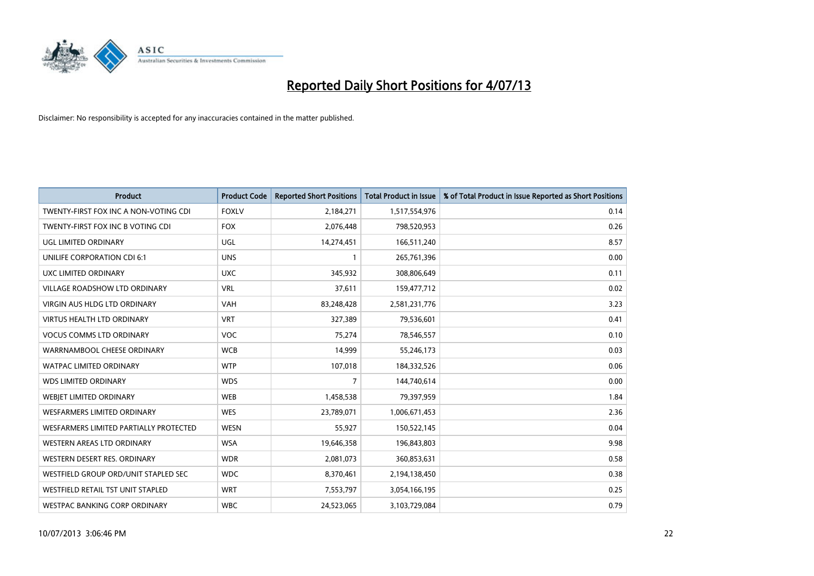

| <b>Product</b>                         | <b>Product Code</b> | <b>Reported Short Positions</b> | <b>Total Product in Issue</b> | % of Total Product in Issue Reported as Short Positions |
|----------------------------------------|---------------------|---------------------------------|-------------------------------|---------------------------------------------------------|
| TWENTY-FIRST FOX INC A NON-VOTING CDI  | <b>FOXLV</b>        | 2,184,271                       | 1,517,554,976                 | 0.14                                                    |
| TWENTY-FIRST FOX INC B VOTING CDI      | <b>FOX</b>          | 2,076,448                       | 798,520,953                   | 0.26                                                    |
| UGL LIMITED ORDINARY                   | UGL                 | 14,274,451                      | 166,511,240                   | 8.57                                                    |
| UNILIFE CORPORATION CDI 6:1            | <b>UNS</b>          | $\mathbf{1}$                    | 265,761,396                   | 0.00                                                    |
| <b>UXC LIMITED ORDINARY</b>            | <b>UXC</b>          | 345,932                         | 308,806,649                   | 0.11                                                    |
| <b>VILLAGE ROADSHOW LTD ORDINARY</b>   | <b>VRL</b>          | 37,611                          | 159,477,712                   | 0.02                                                    |
| <b>VIRGIN AUS HLDG LTD ORDINARY</b>    | <b>VAH</b>          | 83,248,428                      | 2,581,231,776                 | 3.23                                                    |
| <b>VIRTUS HEALTH LTD ORDINARY</b>      | <b>VRT</b>          | 327,389                         | 79,536,601                    | 0.41                                                    |
| <b>VOCUS COMMS LTD ORDINARY</b>        | <b>VOC</b>          | 75,274                          | 78,546,557                    | 0.10                                                    |
| WARRNAMBOOL CHEESE ORDINARY            | <b>WCB</b>          | 14,999                          | 55,246,173                    | 0.03                                                    |
| WATPAC LIMITED ORDINARY                | <b>WTP</b>          | 107,018                         | 184,332,526                   | 0.06                                                    |
| <b>WDS LIMITED ORDINARY</b>            | <b>WDS</b>          | $\overline{7}$                  | 144,740,614                   | 0.00                                                    |
| WEBJET LIMITED ORDINARY                | <b>WEB</b>          | 1,458,538                       | 79,397,959                    | 1.84                                                    |
| <b>WESFARMERS LIMITED ORDINARY</b>     | <b>WES</b>          | 23,789,071                      | 1,006,671,453                 | 2.36                                                    |
| WESFARMERS LIMITED PARTIALLY PROTECTED | <b>WESN</b>         | 55,927                          | 150,522,145                   | 0.04                                                    |
| <b>WESTERN AREAS LTD ORDINARY</b>      | <b>WSA</b>          | 19,646,358                      | 196,843,803                   | 9.98                                                    |
| WESTERN DESERT RES. ORDINARY           | <b>WDR</b>          | 2,081,073                       | 360,853,631                   | 0.58                                                    |
| WESTFIELD GROUP ORD/UNIT STAPLED SEC   | <b>WDC</b>          | 8,370,461                       | 2,194,138,450                 | 0.38                                                    |
| WESTFIELD RETAIL TST UNIT STAPLED      | <b>WRT</b>          | 7,553,797                       | 3,054,166,195                 | 0.25                                                    |
| WESTPAC BANKING CORP ORDINARY          | <b>WBC</b>          | 24,523,065                      | 3,103,729,084                 | 0.79                                                    |